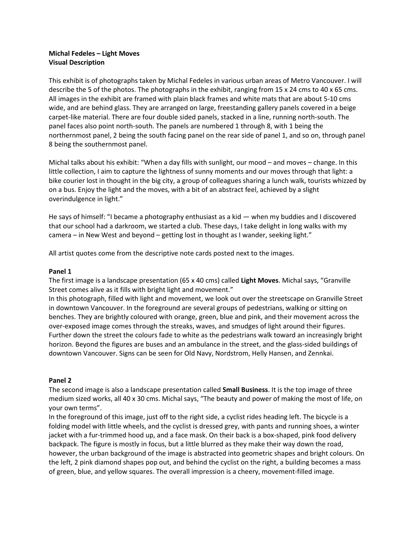# **Michal Fedeles – Light Moves Visual Description**

This exhibit is of photographs taken by Michal Fedeles in various urban areas of Metro Vancouver. I will describe the 5 of the photos. The photographs in the exhibit, ranging from 15 x 24 cms to 40 x 65 cms. All images in the exhibit are framed with plain black frames and white mats that are about 5-10 cms wide, and are behind glass. They are arranged on large, freestanding gallery panels covered in a beige carpet-like material. There are four double sided panels, stacked in a line, running north-south. The panel faces also point north-south. The panels are numbered 1 through 8, with 1 being the northernmost panel, 2 being the south facing panel on the rear side of panel 1, and so on, through panel 8 being the southernmost panel.

Michal talks about his exhibit: "When a day fills with sunlight, our mood – and moves – change. In this little collection, I aim to capture the lightness of sunny moments and our moves through that light: a bike courier lost in thought in the big city, a group of colleagues sharing a lunch walk, tourists whizzed by on a bus. Enjoy the light and the moves, with a bit of an abstract feel, achieved by a slight overindulgence in light."

He says of himself: "I became a photography enthusiast as a kid — when my buddies and I discovered that our school had a darkroom, we started a club. These days, I take delight in long walks with my camera – in New West and beyond – getting lost in thought as I wander, seeking light."

All artist quotes come from the descriptive note cards posted next to the images.

## **Panel 1**

The first image is a landscape presentation (65 x 40 cms) called **Light Moves**. Michal says, "Granville Street comes alive as it fills with bright light and movement."

In this photograph, filled with light and movement, we look out over the streetscape on Granville Street in downtown Vancouver. In the foreground are several groups of pedestrians, walking or sitting on benches. They are brightly coloured with orange, green, blue and pink, and their movement across the over-exposed image comes through the streaks, waves, and smudges of light around their figures. Further down the street the colours fade to white as the pedestrians walk toward an increasingly bright horizon. Beyond the figures are buses and an ambulance in the street, and the glass-sided buildings of downtown Vancouver. Signs can be seen for Old Navy, Nordstrom, Helly Hansen, and Zennkai.

#### **Panel 2**

The second image is also a landscape presentation called **Small Business**. It is the top image of three medium sized works, all 40 x 30 cms. Michal says, "The beauty and power of making the most of life, on your own terms".

In the foreground of this image, just off to the right side, a cyclist rides heading left. The bicycle is a folding model with little wheels, and the cyclist is dressed grey, with pants and running shoes, a winter jacket with a fur-trimmed hood up, and a face mask. On their back is a box-shaped, pink food delivery backpack. The figure is mostly in focus, but a little blurred as they make their way down the road, however, the urban background of the image is abstracted into geometric shapes and bright colours. On the left, 2 pink diamond shapes pop out, and behind the cyclist on the right, a building becomes a mass of green, blue, and yellow squares. The overall impression is a cheery, movement-filled image.